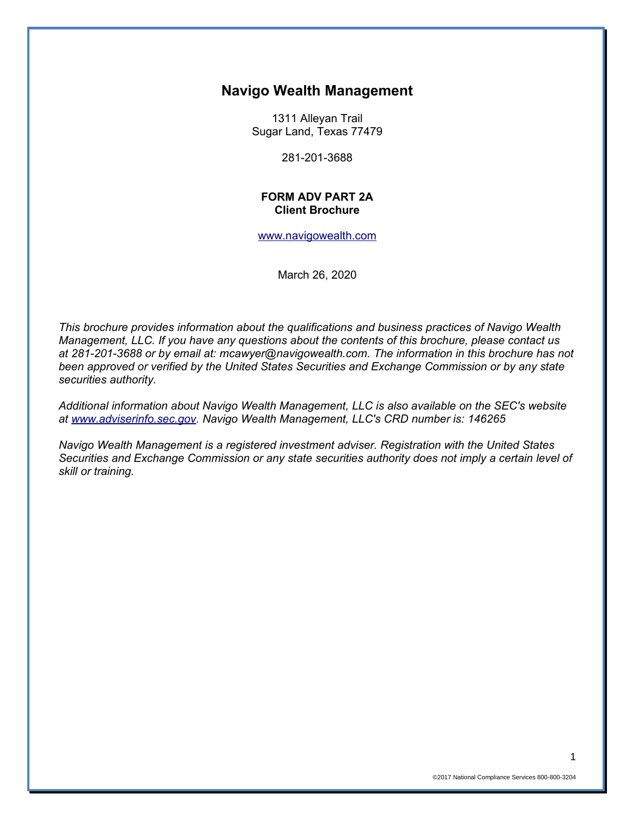## **Navigo Wealth Management**

1311 Alleyan Trail Sugar Land, Texas 77479

281-201-3688

#### **FORM ADV PART 2A Client Brochure**

#### [www.navigowealth.com](http://www.navigowealth.com/)

March 26, 2020

*This brochure provides information about the qualifications and business practices of Navigo Wealth Management, LLC. If you have any questions about the contents of this brochure, please contact us at 281-201-3688 or by email at: mcawyer@navigowealth.com. The information in this brochure has not been approved or verified by the United States Securities and Exchange Commission or by any state securities authority.* 

*Additional information about Navigo Wealth Management, LLC is also available on the SEC's website at [www.adviserinfo.sec.gov.](http://www.adviserinfo.sec.gov/) Navigo Wealth Management, LLC's CRD number is: 146265*

*Navigo Wealth Management is a registered investment adviser. Registration with the United States Securities and Exchange Commission or any state securities authority does not imply a certain level of skill or training.*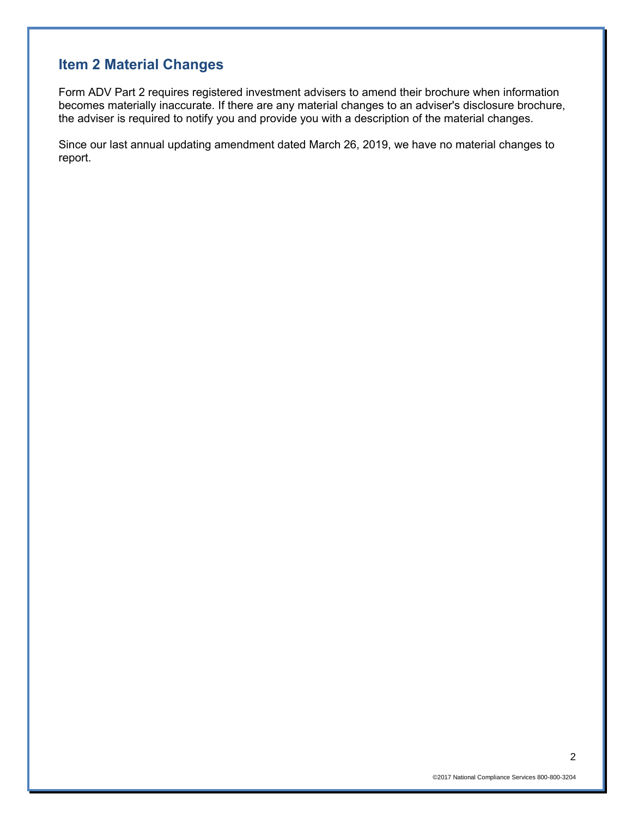# **Item 2 Material Changes**

Form ADV Part 2 requires registered investment advisers to amend their brochure when information becomes materially inaccurate. If there are any material changes to an adviser's disclosure brochure, the adviser is required to notify you and provide you with a description of the material changes.

Since our last annual updating amendment dated March 26, 2019, we have no material changes to report.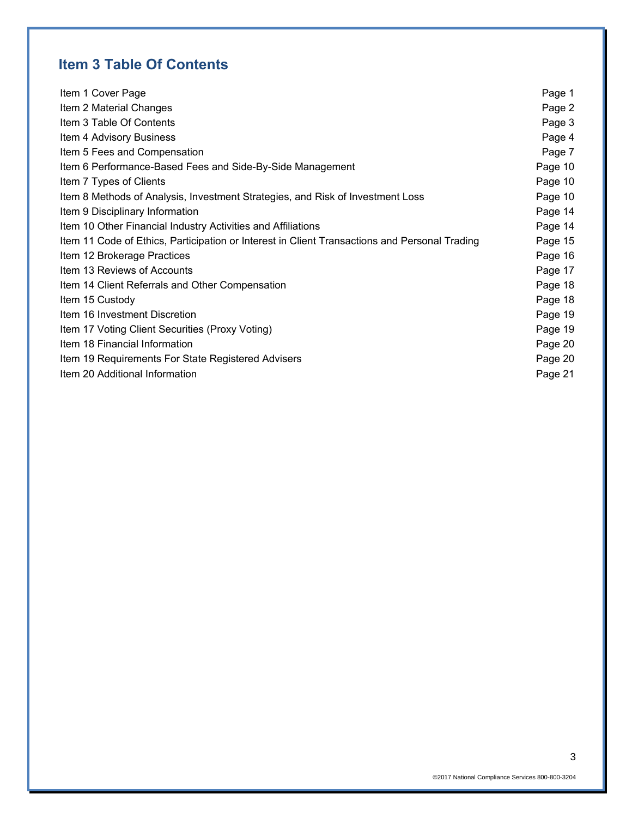# **Item 3 Table Of Contents**

| Item 1 Cover Page                                                                             | Page 1  |
|-----------------------------------------------------------------------------------------------|---------|
| Item 2 Material Changes                                                                       | Page 2  |
| Item 3 Table Of Contents                                                                      | Page 3  |
| Item 4 Advisory Business                                                                      | Page 4  |
| Item 5 Fees and Compensation                                                                  | Page 7  |
| Item 6 Performance-Based Fees and Side-By-Side Management                                     | Page 10 |
| Item 7 Types of Clients                                                                       | Page 10 |
| Item 8 Methods of Analysis, Investment Strategies, and Risk of Investment Loss                | Page 10 |
| Item 9 Disciplinary Information                                                               | Page 14 |
| Item 10 Other Financial Industry Activities and Affiliations                                  | Page 14 |
| Item 11 Code of Ethics, Participation or Interest in Client Transactions and Personal Trading | Page 15 |
| Item 12 Brokerage Practices                                                                   | Page 16 |
| Item 13 Reviews of Accounts                                                                   | Page 17 |
| Item 14 Client Referrals and Other Compensation                                               | Page 18 |
| Item 15 Custody                                                                               | Page 18 |
| Item 16 Investment Discretion                                                                 | Page 19 |
| Item 17 Voting Client Securities (Proxy Voting)                                               | Page 19 |
| Item 18 Financial Information                                                                 | Page 20 |
| Item 19 Requirements For State Registered Advisers                                            | Page 20 |
| Item 20 Additional Information                                                                | Page 21 |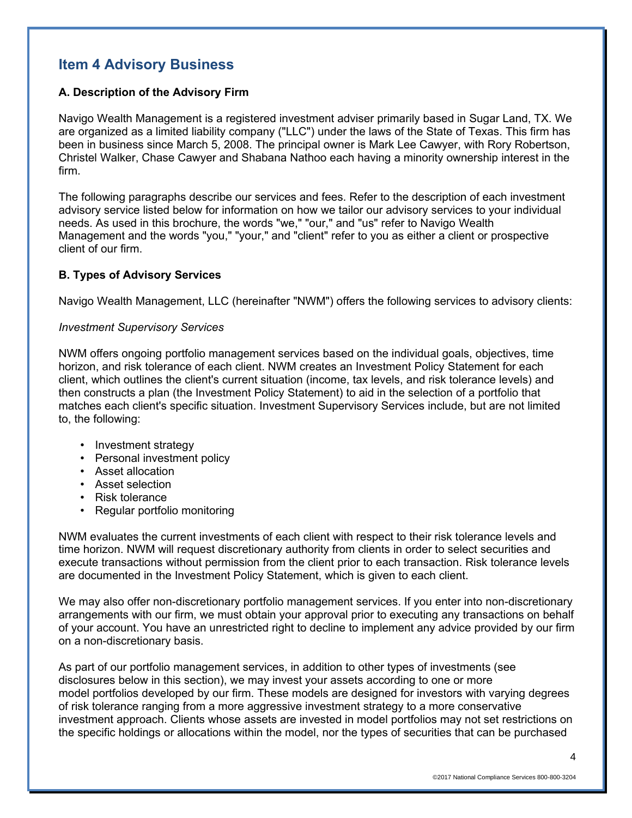# **Item 4 Advisory Business**

### **A. Description of the Advisory Firm**

Navigo Wealth Management is a registered investment adviser primarily based in Sugar Land, TX. We are organized as a limited liability company ("LLC") under the laws of the State of Texas. This firm has been in business since March 5, 2008. The principal owner is Mark Lee Cawyer, with Rory Robertson, Christel Walker, Chase Cawyer and Shabana Nathoo each having a minority ownership interest in the firm.

The following paragraphs describe our services and fees. Refer to the description of each investment advisory service listed below for information on how we tailor our advisory services to your individual needs. As used in this brochure, the words "we," "our," and "us" refer to Navigo Wealth Management and the words "you," "your," and "client" refer to you as either a client or prospective client of our firm.

### **B. Types of Advisory Services**

Navigo Wealth Management, LLC (hereinafter "NWM") offers the following services to advisory clients:

### *Investment Supervisory Services*

NWM offers ongoing portfolio management services based on the individual goals, objectives, time horizon, and risk tolerance of each client. NWM creates an Investment Policy Statement for each client, which outlines the client's current situation (income, tax levels, and risk tolerance levels) and then constructs a plan (the Investment Policy Statement) to aid in the selection of a portfolio that matches each client's specific situation. Investment Supervisory Services include, but are not limited to, the following:

- Investment strategy
- Personal investment policy
- Asset allocation
- Asset selection
- Risk tolerance
- Regular portfolio monitoring

NWM evaluates the current investments of each client with respect to their risk tolerance levels and time horizon. NWM will request discretionary authority from clients in order to select securities and execute transactions without permission from the client prior to each transaction. Risk tolerance levels are documented in the Investment Policy Statement, which is given to each client.

We may also offer non-discretionary portfolio management services. If you enter into non-discretionary arrangements with our firm, we must obtain your approval prior to executing any transactions on behalf of your account. You have an unrestricted right to decline to implement any advice provided by our firm on a non-discretionary basis.

As part of our portfolio management services, in addition to other types of investments (see disclosures below in this section), we may invest your assets according to one or more model portfolios developed by our firm. These models are designed for investors with varying degrees of risk tolerance ranging from a more aggressive investment strategy to a more conservative investment approach. Clients whose assets are invested in model portfolios may not set restrictions on the specific holdings or allocations within the model, nor the types of securities that can be purchased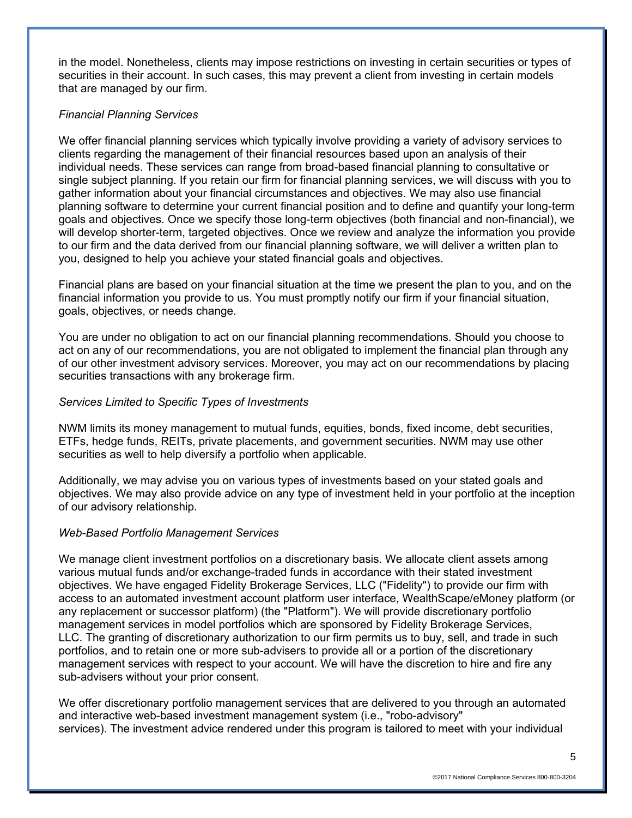in the model. Nonetheless, clients may impose restrictions on investing in certain securities or types of securities in their account. In such cases, this may prevent a client from investing in certain models that are managed by our firm.

## *Financial Planning Services*

We offer financial planning services which typically involve providing a variety of advisory services to clients regarding the management of their financial resources based upon an analysis of their individual needs. These services can range from broad-based financial planning to consultative or single subject planning. If you retain our firm for financial planning services, we will discuss with you to gather information about your financial circumstances and objectives. We may also use financial planning software to determine your current financial position and to define and quantify your long-term goals and objectives. Once we specify those long-term objectives (both financial and non-financial), we will develop shorter-term, targeted objectives. Once we review and analyze the information you provide to our firm and the data derived from our financial planning software, we will deliver a written plan to you, designed to help you achieve your stated financial goals and objectives.

Financial plans are based on your financial situation at the time we present the plan to you, and on the financial information you provide to us. You must promptly notify our firm if your financial situation, goals, objectives, or needs change.

You are under no obligation to act on our financial planning recommendations. Should you choose to act on any of our recommendations, you are not obligated to implement the financial plan through any of our other investment advisory services. Moreover, you may act on our recommendations by placing securities transactions with any brokerage firm.

### *Services Limited to Specific Types of Investments*

NWM limits its money management to mutual funds, equities, bonds, fixed income, debt securities, ETFs, hedge funds, REITs, private placements, and government securities. NWM may use other securities as well to help diversify a portfolio when applicable.

Additionally, we may advise you on various types of investments based on your stated goals and objectives. We may also provide advice on any type of investment held in your portfolio at the inception of our advisory relationship.

### *Web-Based Portfolio Management Services*

We manage client investment portfolios on a discretionary basis. We allocate client assets among various mutual funds and/or exchange-traded funds in accordance with their stated investment objectives. We have engaged Fidelity Brokerage Services, LLC ("Fidelity") to provide our firm with access to an automated investment account platform user interface, WealthScape/eMoney platform (or any replacement or successor platform) (the "Platform"). We will provide discretionary portfolio management services in model portfolios which are sponsored by Fidelity Brokerage Services, LLC. The granting of discretionary authorization to our firm permits us to buy, sell, and trade in such portfolios, and to retain one or more sub-advisers to provide all or a portion of the discretionary management services with respect to your account. We will have the discretion to hire and fire any sub-advisers without your prior consent.

We offer discretionary portfolio management services that are delivered to you through an automated and interactive web-based investment management system (i.e., "robo-advisory" services). The investment advice rendered under this program is tailored to meet with your individual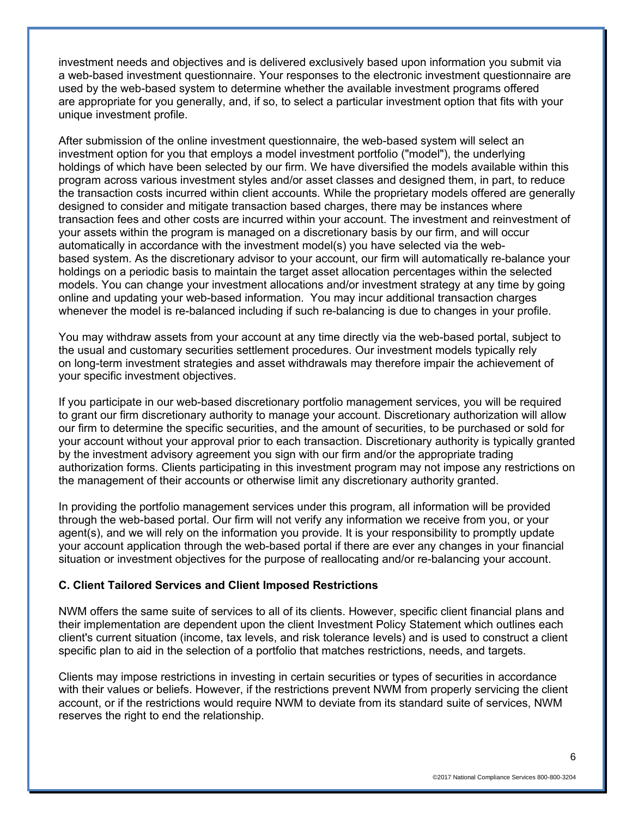investment needs and objectives and is delivered exclusively based upon information you submit via a web-based investment questionnaire. Your responses to the electronic investment questionnaire are used by the web-based system to determine whether the available investment programs offered are appropriate for you generally, and, if so, to select a particular investment option that fits with your unique investment profile.

After submission of the online investment questionnaire, the web-based system will select an investment option for you that employs a model investment portfolio ("model"), the underlying holdings of which have been selected by our firm. We have diversified the models available within this program across various investment styles and/or asset classes and designed them, in part, to reduce the transaction costs incurred within client accounts. While the proprietary models offered are generally designed to consider and mitigate transaction based charges, there may be instances where transaction fees and other costs are incurred within your account. The investment and reinvestment of your assets within the program is managed on a discretionary basis by our firm, and will occur automatically in accordance with the investment model(s) you have selected via the webbased system. As the discretionary advisor to your account, our firm will automatically re-balance your holdings on a periodic basis to maintain the target asset allocation percentages within the selected models. You can change your investment allocations and/or investment strategy at any time by going online and updating your web-based information. You may incur additional transaction charges whenever the model is re-balanced including if such re-balancing is due to changes in your profile.

You may withdraw assets from your account at any time directly via the web-based portal, subject to the usual and customary securities settlement procedures. Our investment models typically rely on long-term investment strategies and asset withdrawals may therefore impair the achievement of your specific investment objectives.

If you participate in our web-based discretionary portfolio management services, you will be required to grant our firm discretionary authority to manage your account. Discretionary authorization will allow our firm to determine the specific securities, and the amount of securities, to be purchased or sold for your account without your approval prior to each transaction. Discretionary authority is typically granted by the investment advisory agreement you sign with our firm and/or the appropriate trading authorization forms. Clients participating in this investment program may not impose any restrictions on the management of their accounts or otherwise limit any discretionary authority granted.

In providing the portfolio management services under this program, all information will be provided through the web-based portal. Our firm will not verify any information we receive from you, or your agent(s), and we will rely on the information you provide. It is your responsibility to promptly update your account application through the web-based portal if there are ever any changes in your financial situation or investment objectives for the purpose of reallocating and/or re-balancing your account.

### **C. Client Tailored Services and Client Imposed Restrictions**

NWM offers the same suite of services to all of its clients. However, specific client financial plans and their implementation are dependent upon the client Investment Policy Statement which outlines each client's current situation (income, tax levels, and risk tolerance levels) and is used to construct a client specific plan to aid in the selection of a portfolio that matches restrictions, needs, and targets.

Clients may impose restrictions in investing in certain securities or types of securities in accordance with their values or beliefs. However, if the restrictions prevent NWM from properly servicing the client account, or if the restrictions would require NWM to deviate from its standard suite of services, NWM reserves the right to end the relationship.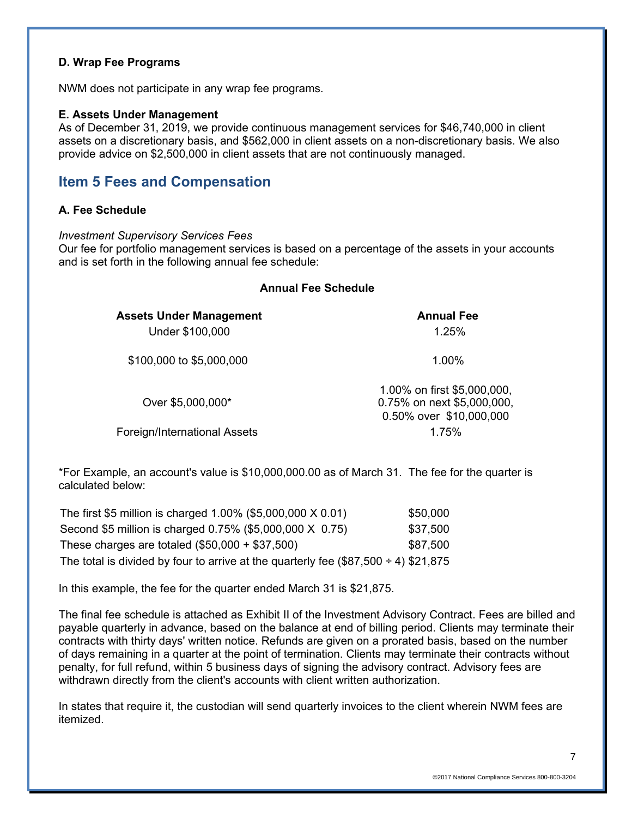### **D. Wrap Fee Programs**

NWM does not participate in any wrap fee programs.

### **E. Assets Under Management**

As of December 31, 2019, we provide continuous management services for \$46,740,000 in client assets on a discretionary basis, and \$562,000 in client assets on a non-discretionary basis. We also provide advice on \$2,500,000 in client assets that are not continuously managed.

## **Item 5 Fees and Compensation**

### **A. Fee Schedule**

*Investment Supervisory Services Fees* 

Our fee for portfolio management services is based on a percentage of the assets in your accounts and is set forth in the following annual fee schedule:

| <b>Annual Fee Schedule</b>                        |                                                                                      |  |
|---------------------------------------------------|--------------------------------------------------------------------------------------|--|
| <b>Assets Under Management</b><br>Under \$100,000 | <b>Annual Fee</b><br>1.25%                                                           |  |
| \$100,000 to \$5,000,000                          | 1.00%                                                                                |  |
| Over \$5,000,000*                                 | 1.00% on first \$5,000,000,<br>0.75% on next \$5,000,000,<br>0.50% over \$10,000,000 |  |
| Foreign/International Assets                      | 1.75%                                                                                |  |

\*For Example, an account's value is \$10,000,000.00 as of March 31. The fee for the quarter is calculated below:

| The first \$5 million is charged 1.00% (\$5,000,000 X 0.01)                              | \$50,000 |
|------------------------------------------------------------------------------------------|----------|
| Second \$5 million is charged 0.75% (\$5,000,000 X 0.75)                                 | \$37,500 |
| These charges are totaled $(\$50,000 + \$37,500)$                                        | \$87,500 |
| The total is divided by four to arrive at the quarterly fee $(\$87,500 \div 4) \$21,875$ |          |

In this example, the fee for the quarter ended March 31 is \$21,875.

The final fee schedule is attached as Exhibit II of the Investment Advisory Contract. Fees are billed and payable quarterly in advance, based on the balance at end of billing period. Clients may terminate their contracts with thirty days' written notice. Refunds are given on a prorated basis, based on the number of days remaining in a quarter at the point of termination. Clients may terminate their contracts without penalty, for full refund, within 5 business days of signing the advisory contract. Advisory fees are withdrawn directly from the client's accounts with client written authorization.

In states that require it, the custodian will send quarterly invoices to the client wherein NWM fees are itemized.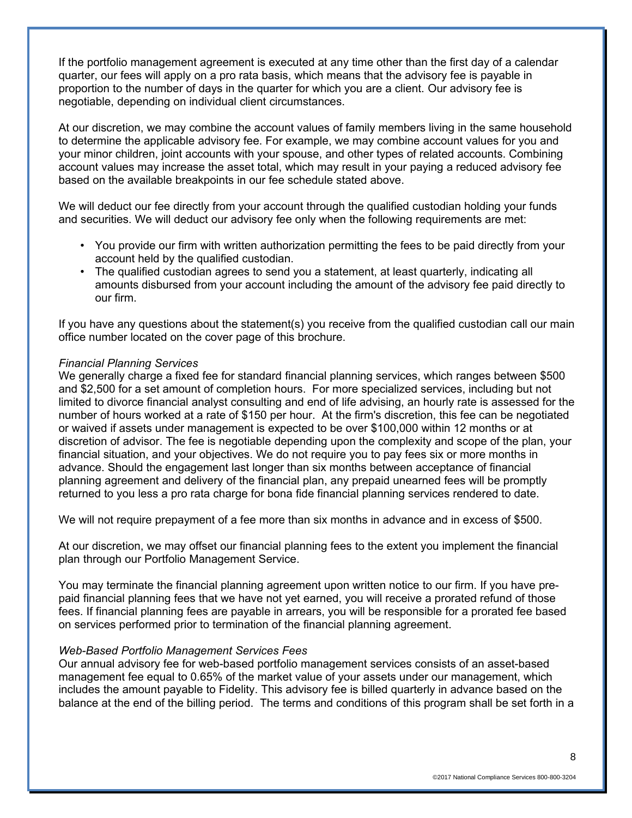If the portfolio management agreement is executed at any time other than the first day of a calendar quarter, our fees will apply on a pro rata basis, which means that the advisory fee is payable in proportion to the number of days in the quarter for which you are a client. Our advisory fee is negotiable, depending on individual client circumstances.

At our discretion, we may combine the account values of family members living in the same household to determine the applicable advisory fee. For example, we may combine account values for you and your minor children, joint accounts with your spouse, and other types of related accounts. Combining account values may increase the asset total, which may result in your paying a reduced advisory fee based on the available breakpoints in our fee schedule stated above.

We will deduct our fee directly from your account through the qualified custodian holding your funds and securities. We will deduct our advisory fee only when the following requirements are met:

- You provide our firm with written authorization permitting the fees to be paid directly from your account held by the qualified custodian.
- The qualified custodian agrees to send you a statement, at least quarterly, indicating all amounts disbursed from your account including the amount of the advisory fee paid directly to our firm.

If you have any questions about the statement(s) you receive from the qualified custodian call our main office number located on the cover page of this brochure.

### *Financial Planning Services*

We generally charge a fixed fee for standard financial planning services, which ranges between \$500 and \$2,500 for a set amount of completion hours. For more specialized services, including but not limited to divorce financial analyst consulting and end of life advising, an hourly rate is assessed for the number of hours worked at a rate of \$150 per hour. At the firm's discretion, this fee can be negotiated or waived if assets under management is expected to be over \$100,000 within 12 months or at discretion of advisor. The fee is negotiable depending upon the complexity and scope of the plan, your financial situation, and your objectives. We do not require you to pay fees six or more months in advance. Should the engagement last longer than six months between acceptance of financial planning agreement and delivery of the financial plan, any prepaid unearned fees will be promptly returned to you less a pro rata charge for bona fide financial planning services rendered to date.

We will not require prepayment of a fee more than six months in advance and in excess of \$500.

At our discretion, we may offset our financial planning fees to the extent you implement the financial plan through our Portfolio Management Service.

You may terminate the financial planning agreement upon written notice to our firm. If you have prepaid financial planning fees that we have not yet earned, you will receive a prorated refund of those fees. If financial planning fees are payable in arrears, you will be responsible for a prorated fee based on services performed prior to termination of the financial planning agreement.

### *Web-Based Portfolio Management Services Fees*

Our annual advisory fee for web-based portfolio management services consists of an asset-based management fee equal to 0.65% of the market value of your assets under our management, which includes the amount payable to Fidelity. This advisory fee is billed quarterly in advance based on the balance at the end of the billing period. The terms and conditions of this program shall be set forth in a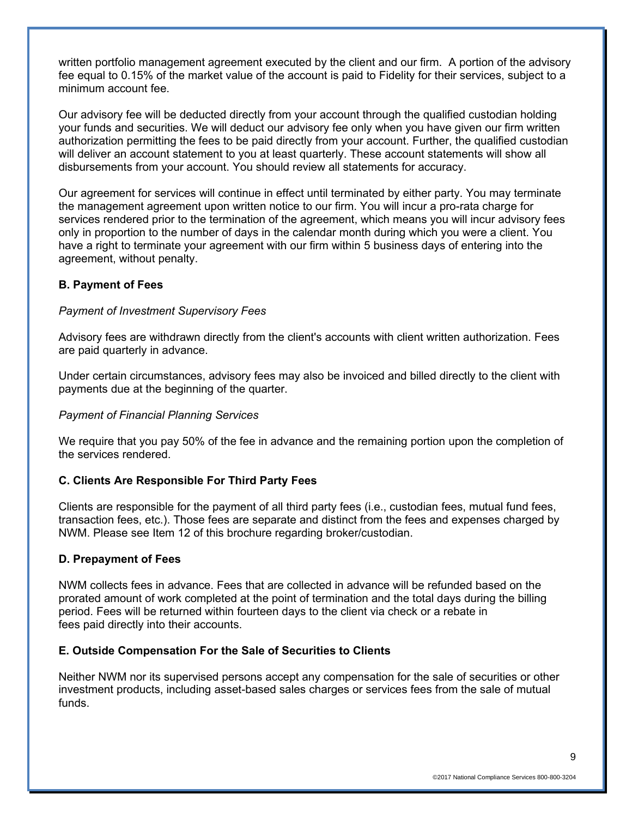written portfolio management agreement executed by the client and our firm. A portion of the advisory fee equal to 0.15% of the market value of the account is paid to Fidelity for their services, subject to a minimum account fee.

Our advisory fee will be deducted directly from your account through the qualified custodian holding your funds and securities. We will deduct our advisory fee only when you have given our firm written authorization permitting the fees to be paid directly from your account. Further, the qualified custodian will deliver an account statement to you at least quarterly. These account statements will show all disbursements from your account. You should review all statements for accuracy.

Our agreement for services will continue in effect until terminated by either party. You may terminate the management agreement upon written notice to our firm. You will incur a pro-rata charge for services rendered prior to the termination of the agreement, which means you will incur advisory fees only in proportion to the number of days in the calendar month during which you were a client. You have a right to terminate your agreement with our firm within 5 business days of entering into the agreement, without penalty.

### **B. Payment of Fees**

### *Payment of Investment Supervisory Fees*

Advisory fees are withdrawn directly from the client's accounts with client written authorization. Fees are paid quarterly in advance.

Under certain circumstances, advisory fees may also be invoiced and billed directly to the client with payments due at the beginning of the quarter.

### *Payment of Financial Planning Services*

We require that you pay 50% of the fee in advance and the remaining portion upon the completion of the services rendered.

### **C. Clients Are Responsible For Third Party Fees**

Clients are responsible for the payment of all third party fees (i.e., custodian fees, mutual fund fees, transaction fees, etc.). Those fees are separate and distinct from the fees and expenses charged by NWM. Please see Item 12 of this brochure regarding broker/custodian.

### **D. Prepayment of Fees**

NWM collects fees in advance. Fees that are collected in advance will be refunded based on the prorated amount of work completed at the point of termination and the total days during the billing period. Fees will be returned within fourteen days to the client via check or a rebate in fees paid directly into their accounts.

### **E. Outside Compensation For the Sale of Securities to Clients**

Neither NWM nor its supervised persons accept any compensation for the sale of securities or other investment products, including asset-based sales charges or services fees from the sale of mutual funds.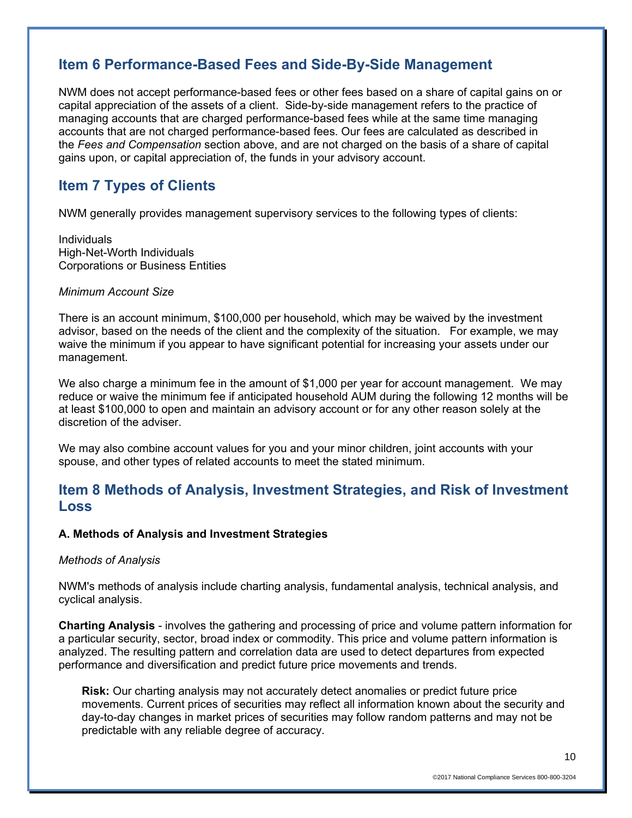## **Item 6 Performance-Based Fees and Side-By-Side Management**

NWM does not accept performance-based fees or other fees based on a share of capital gains on or capital appreciation of the assets of a client. Side-by-side management refers to the practice of managing accounts that are charged performance-based fees while at the same time managing accounts that are not charged performance-based fees. Our fees are calculated as described in the *Fees and Compensation* section above, and are not charged on the basis of a share of capital gains upon, or capital appreciation of, the funds in your advisory account.

## **Item 7 Types of Clients**

NWM generally provides management supervisory services to the following types of clients:

Individuals High-Net-Worth Individuals Corporations or Business Entities

### *Minimum Account Size*

There is an account minimum, \$100,000 per household, which may be waived by the investment advisor, based on the needs of the client and the complexity of the situation. For example, we may waive the minimum if you appear to have significant potential for increasing your assets under our management.

We also charge a minimum fee in the amount of \$1,000 per year for account management. We may reduce or waive the minimum fee if anticipated household AUM during the following 12 months will be at least \$100,000 to open and maintain an advisory account or for any other reason solely at the discretion of the adviser.

We may also combine account values for you and your minor children, joint accounts with your spouse, and other types of related accounts to meet the stated minimum.

## **Item 8 Methods of Analysis, Investment Strategies, and Risk of Investment Loss**

### **A. Methods of Analysis and Investment Strategies**

### *Methods of Analysis*

NWM's methods of analysis include charting analysis, fundamental analysis, technical analysis, and cyclical analysis.

**Charting Analysis** - involves the gathering and processing of price and volume pattern information for a particular security, sector, broad index or commodity. This price and volume pattern information is analyzed. The resulting pattern and correlation data are used to detect departures from expected performance and diversification and predict future price movements and trends.

**Risk:** Our charting analysis may not accurately detect anomalies or predict future price movements. Current prices of securities may reflect all information known about the security and day-to-day changes in market prices of securities may follow random patterns and may not be predictable with any reliable degree of accuracy.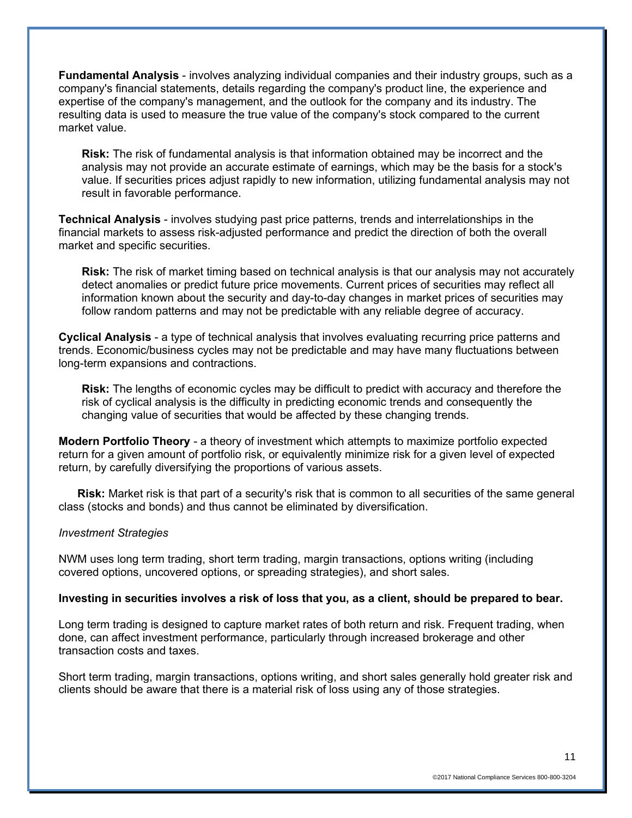**Fundamental Analysis** - involves analyzing individual companies and their industry groups, such as a company's financial statements, details regarding the company's product line, the experience and expertise of the company's management, and the outlook for the company and its industry. The resulting data is used to measure the true value of the company's stock compared to the current market value.

**Risk:** The risk of fundamental analysis is that information obtained may be incorrect and the analysis may not provide an accurate estimate of earnings, which may be the basis for a stock's value. If securities prices adjust rapidly to new information, utilizing fundamental analysis may not result in favorable performance.

**Technical Analysis** - involves studying past price patterns, trends and interrelationships in the financial markets to assess risk-adjusted performance and predict the direction of both the overall market and specific securities.

**Risk:** The risk of market timing based on technical analysis is that our analysis may not accurately detect anomalies or predict future price movements. Current prices of securities may reflect all information known about the security and day-to-day changes in market prices of securities may follow random patterns and may not be predictable with any reliable degree of accuracy.

**Cyclical Analysis** - a type of technical analysis that involves evaluating recurring price patterns and trends. Economic/business cycles may not be predictable and may have many fluctuations between long-term expansions and contractions.

**Risk:** The lengths of economic cycles may be difficult to predict with accuracy and therefore the risk of cyclical analysis is the difficulty in predicting economic trends and consequently the changing value of securities that would be affected by these changing trends.

**Modern Portfolio Theory** - a theory of investment which attempts to maximize portfolio expected return for a given amount of portfolio risk, or equivalently minimize risk for a given level of expected return, by carefully diversifying the proportions of various assets.

**Risk:** Market risk is that part of a security's risk that is common to all securities of the same general class (stocks and bonds) and thus cannot be eliminated by diversification.

### *Investment Strategies*

NWM uses long term trading, short term trading, margin transactions, options writing (including covered options, uncovered options, or spreading strategies), and short sales.

### **Investing in securities involves a risk of loss that you, as a client, should be prepared to bear.**

Long term trading is designed to capture market rates of both return and risk. Frequent trading, when done, can affect investment performance, particularly through increased brokerage and other transaction costs and taxes.

Short term trading, margin transactions, options writing, and short sales generally hold greater risk and clients should be aware that there is a material risk of loss using any of those strategies.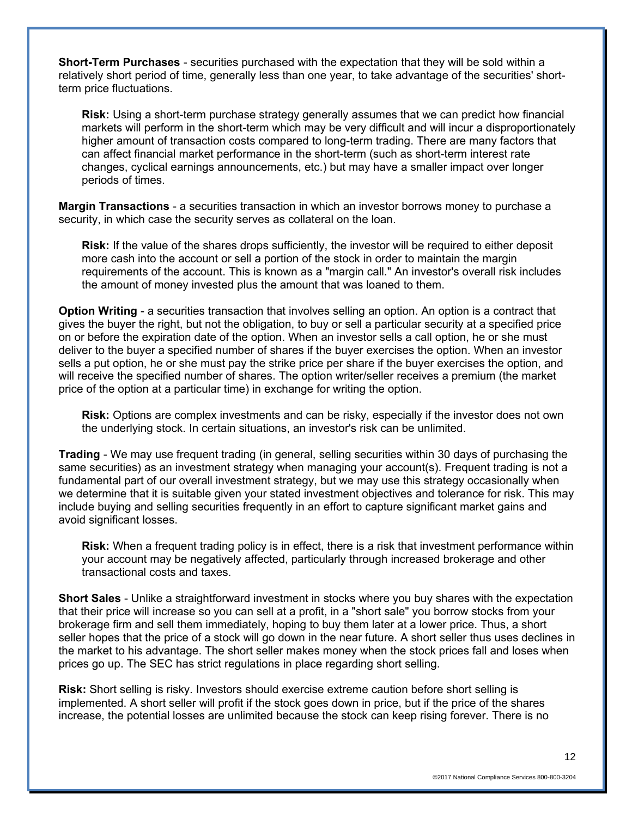**Short-Term Purchases** - securities purchased with the expectation that they will be sold within a relatively short period of time, generally less than one year, to take advantage of the securities' shortterm price fluctuations.

**Risk:** Using a short-term purchase strategy generally assumes that we can predict how financial markets will perform in the short-term which may be very difficult and will incur a disproportionately higher amount of transaction costs compared to long-term trading. There are many factors that can affect financial market performance in the short-term (such as short-term interest rate changes, cyclical earnings announcements, etc.) but may have a smaller impact over longer periods of times.

**Margin Transactions** - a securities transaction in which an investor borrows money to purchase a security, in which case the security serves as collateral on the loan.

**Risk:** If the value of the shares drops sufficiently, the investor will be required to either deposit more cash into the account or sell a portion of the stock in order to maintain the margin requirements of the account. This is known as a "margin call." An investor's overall risk includes the amount of money invested plus the amount that was loaned to them.

**Option Writing** - a securities transaction that involves selling an option. An option is a contract that gives the buyer the right, but not the obligation, to buy or sell a particular security at a specified price on or before the expiration date of the option. When an investor sells a call option, he or she must deliver to the buyer a specified number of shares if the buyer exercises the option. When an investor sells a put option, he or she must pay the strike price per share if the buyer exercises the option, and will receive the specified number of shares. The option writer/seller receives a premium (the market price of the option at a particular time) in exchange for writing the option.

**Risk:** Options are complex investments and can be risky, especially if the investor does not own the underlying stock. In certain situations, an investor's risk can be unlimited.

**Trading** - We may use frequent trading (in general, selling securities within 30 days of purchasing the same securities) as an investment strategy when managing your account(s). Frequent trading is not a fundamental part of our overall investment strategy, but we may use this strategy occasionally when we determine that it is suitable given your stated investment objectives and tolerance for risk. This may include buying and selling securities frequently in an effort to capture significant market gains and avoid significant losses.

**Risk:** When a frequent trading policy is in effect, there is a risk that investment performance within your account may be negatively affected, particularly through increased brokerage and other transactional costs and taxes.

**Short Sales** - Unlike a straightforward investment in stocks where you buy shares with the expectation that their price will increase so you can sell at a profit, in a "short sale" you borrow stocks from your brokerage firm and sell them immediately, hoping to buy them later at a lower price. Thus, a short seller hopes that the price of a stock will go down in the near future. A short seller thus uses declines in the market to his advantage. The short seller makes money when the stock prices fall and loses when prices go up. The SEC has strict regulations in place regarding short selling.

**Risk:** Short selling is risky. Investors should exercise extreme caution before short selling is implemented. A short seller will profit if the stock goes down in price, but if the price of the shares increase, the potential losses are unlimited because the stock can keep rising forever. There is no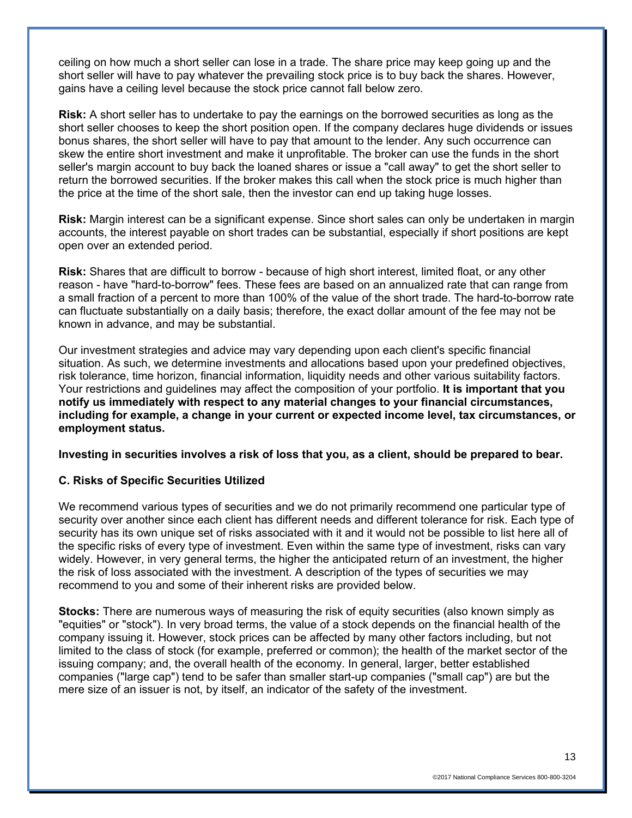ceiling on how much a short seller can lose in a trade. The share price may keep going up and the short seller will have to pay whatever the prevailing stock price is to buy back the shares. However, gains have a ceiling level because the stock price cannot fall below zero.

**Risk:** A short seller has to undertake to pay the earnings on the borrowed securities as long as the short seller chooses to keep the short position open. If the company declares huge dividends or issues bonus shares, the short seller will have to pay that amount to the lender. Any such occurrence can skew the entire short investment and make it unprofitable. The broker can use the funds in the short seller's margin account to buy back the loaned shares or issue a "call away" to get the short seller to return the borrowed securities. If the broker makes this call when the stock price is much higher than the price at the time of the short sale, then the investor can end up taking huge losses.

**Risk:** Margin interest can be a significant expense. Since short sales can only be undertaken in margin accounts, the interest payable on short trades can be substantial, especially if short positions are kept open over an extended period.

**Risk:** Shares that are difficult to borrow - because of high short interest, limited float, or any other reason - have "hard-to-borrow" fees. These fees are based on an annualized rate that can range from a small fraction of a percent to more than 100% of the value of the short trade. The hard-to-borrow rate can fluctuate substantially on a daily basis; therefore, the exact dollar amount of the fee may not be known in advance, and may be substantial.

Our investment strategies and advice may vary depending upon each client's specific financial situation. As such, we determine investments and allocations based upon your predefined objectives, risk tolerance, time horizon, financial information, liquidity needs and other various suitability factors. Your restrictions and guidelines may affect the composition of your portfolio. **It is important that you notify us immediately with respect to any material changes to your financial circumstances, including for example, a change in your current or expected income level, tax circumstances, or employment status.**

**Investing in securities involves a risk of loss that you, as a client, should be prepared to bear.**

### **C. Risks of Specific Securities Utilized**

We recommend various types of securities and we do not primarily recommend one particular type of security over another since each client has different needs and different tolerance for risk. Each type of security has its own unique set of risks associated with it and it would not be possible to list here all of the specific risks of every type of investment. Even within the same type of investment, risks can vary widely. However, in very general terms, the higher the anticipated return of an investment, the higher the risk of loss associated with the investment. A description of the types of securities we may recommend to you and some of their inherent risks are provided below.

**Stocks:** There are numerous ways of measuring the risk of equity securities (also known simply as "equities" or "stock"). In very broad terms, the value of a stock depends on the financial health of the company issuing it. However, stock prices can be affected by many other factors including, but not limited to the class of stock (for example, preferred or common); the health of the market sector of the issuing company; and, the overall health of the economy. In general, larger, better established companies ("large cap") tend to be safer than smaller start-up companies ("small cap") are but the mere size of an issuer is not, by itself, an indicator of the safety of the investment.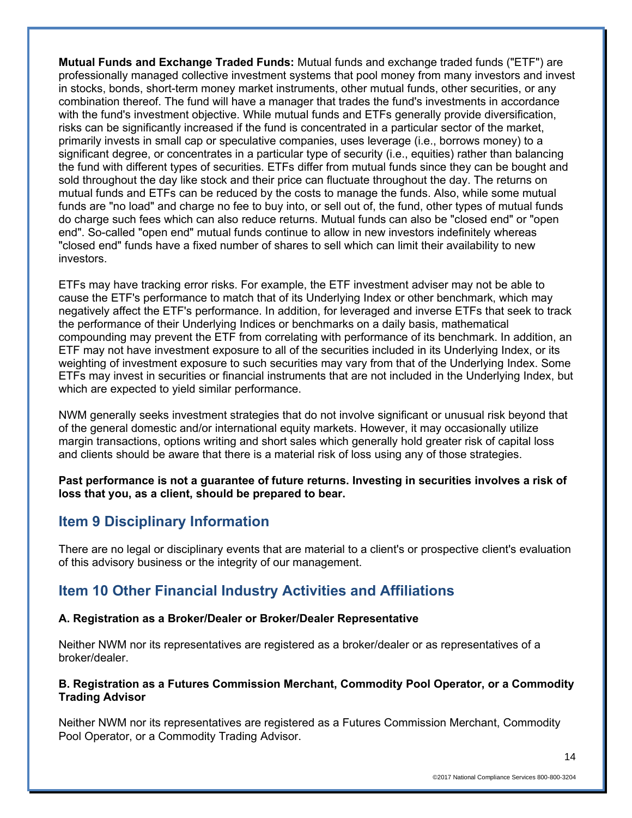**Mutual Funds and Exchange Traded Funds:** Mutual funds and exchange traded funds ("ETF") are professionally managed collective investment systems that pool money from many investors and invest in stocks, bonds, short-term money market instruments, other mutual funds, other securities, or any combination thereof. The fund will have a manager that trades the fund's investments in accordance with the fund's investment objective. While mutual funds and ETFs generally provide diversification, risks can be significantly increased if the fund is concentrated in a particular sector of the market, primarily invests in small cap or speculative companies, uses leverage (i.e., borrows money) to a significant degree, or concentrates in a particular type of security (i.e., equities) rather than balancing the fund with different types of securities. ETFs differ from mutual funds since they can be bought and sold throughout the day like stock and their price can fluctuate throughout the day. The returns on mutual funds and ETFs can be reduced by the costs to manage the funds. Also, while some mutual funds are "no load" and charge no fee to buy into, or sell out of, the fund, other types of mutual funds do charge such fees which can also reduce returns. Mutual funds can also be "closed end" or "open end". So-called "open end" mutual funds continue to allow in new investors indefinitely whereas "closed end" funds have a fixed number of shares to sell which can limit their availability to new investors.

ETFs may have tracking error risks. For example, the ETF investment adviser may not be able to cause the ETF's performance to match that of its Underlying Index or other benchmark, which may negatively affect the ETF's performance. In addition, for leveraged and inverse ETFs that seek to track the performance of their Underlying Indices or benchmarks on a daily basis, mathematical compounding may prevent the ETF from correlating with performance of its benchmark. In addition, an ETF may not have investment exposure to all of the securities included in its Underlying Index, or its weighting of investment exposure to such securities may vary from that of the Underlying Index. Some ETFs may invest in securities or financial instruments that are not included in the Underlying Index, but which are expected to yield similar performance.

NWM generally seeks investment strategies that do not involve significant or unusual risk beyond that of the general domestic and/or international equity markets. However, it may occasionally utilize margin transactions, options writing and short sales which generally hold greater risk of capital loss and clients should be aware that there is a material risk of loss using any of those strategies.

**Past performance is not a guarantee of future returns. Investing in securities involves a risk of loss that you, as a client, should be prepared to bear.** 

## **Item 9 Disciplinary Information**

There are no legal or disciplinary events that are material to a client's or prospective client's evaluation of this advisory business or the integrity of our management.

# **Item 10 Other Financial Industry Activities and Affiliations**

### **A. Registration as a Broker/Dealer or Broker/Dealer Representative**

Neither NWM nor its representatives are registered as a broker/dealer or as representatives of a broker/dealer.

### **B. Registration as a Futures Commission Merchant, Commodity Pool Operator, or a Commodity Trading Advisor**

Neither NWM nor its representatives are registered as a Futures Commission Merchant, Commodity Pool Operator, or a Commodity Trading Advisor.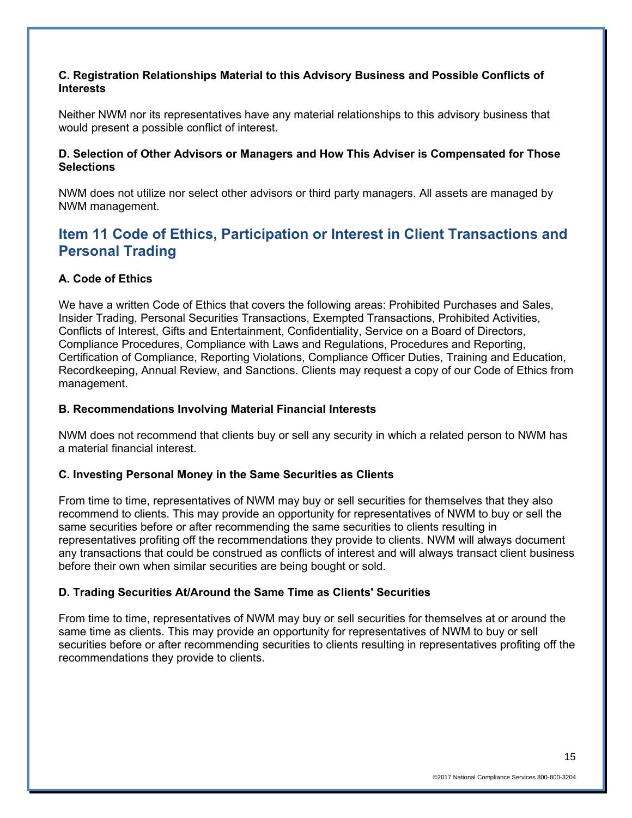### **C. Registration Relationships Material to this Advisory Business and Possible Conflicts of Interests**

Neither NWM nor its representatives have any material relationships to this advisory business that would present a possible conflict of interest.

### **D. Selection of Other Advisors or Managers and How This Adviser is Compensated for Those Selections**

NWM does not utilize nor select other advisors or third party managers. All assets are managed by NWM management.

## **Item 11 Code of Ethics, Participation or Interest in Client Transactions and Personal Trading**

### **A. Code of Ethics**

We have a written Code of Ethics that covers the following areas: Prohibited Purchases and Sales, Insider Trading, Personal Securities Transactions, Exempted Transactions, Prohibited Activities, Conflicts of Interest, Gifts and Entertainment, Confidentiality, Service on a Board of Directors, Compliance Procedures, Compliance with Laws and Regulations, Procedures and Reporting, Certification of Compliance, Reporting Violations, Compliance Officer Duties, Training and Education, Recordkeeping, Annual Review, and Sanctions. Clients may request a copy of our Code of Ethics from management.

### **B. Recommendations Involving Material Financial Interests**

NWM does not recommend that clients buy or sell any security in which a related person to NWM has a material financial interest.

### **C. Investing Personal Money in the Same Securities as Clients**

From time to time, representatives of NWM may buy or sell securities for themselves that they also recommend to clients. This may provide an opportunity for representatives of NWM to buy or sell the same securities before or after recommending the same securities to clients resulting in representatives profiting off the recommendations they provide to clients. NWM will always document any transactions that could be construed as conflicts of interest and will always transact client business before their own when similar securities are being bought or sold.

### **D. Trading Securities At/Around the Same Time as Clients' Securities**

From time to time, representatives of NWM may buy or sell securities for themselves at or around the same time as clients. This may provide an opportunity for representatives of NWM to buy or sell securities before or after recommending securities to clients resulting in representatives profiting off the recommendations they provide to clients.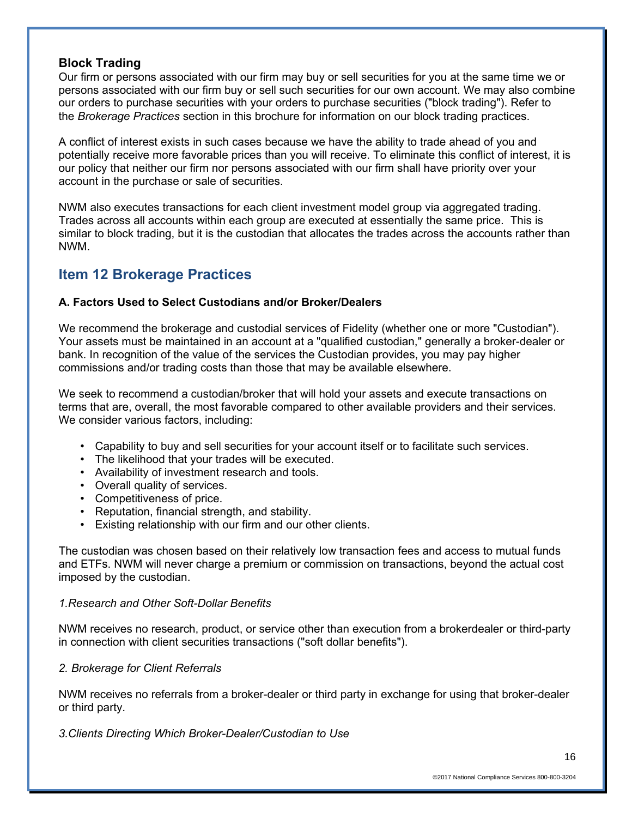### **Block Trading**

Our firm or persons associated with our firm may buy or sell securities for you at the same time we or persons associated with our firm buy or sell such securities for our own account. We may also combine our orders to purchase securities with your orders to purchase securities ("block trading"). Refer to the *Brokerage Practices* section in this brochure for information on our block trading practices.

A conflict of interest exists in such cases because we have the ability to trade ahead of you and potentially receive more favorable prices than you will receive. To eliminate this conflict of interest, it is our policy that neither our firm nor persons associated with our firm shall have priority over your account in the purchase or sale of securities.

NWM also executes transactions for each client investment model group via aggregated trading. Trades across all accounts within each group are executed at essentially the same price. This is similar to block trading, but it is the custodian that allocates the trades across the accounts rather than NWM.

# **Item 12 Brokerage Practices**

## **A. Factors Used to Select Custodians and/or Broker/Dealers**

We recommend the brokerage and custodial services of Fidelity (whether one or more "Custodian"). Your assets must be maintained in an account at a "qualified custodian," generally a broker-dealer or bank. In recognition of the value of the services the Custodian provides, you may pay higher commissions and/or trading costs than those that may be available elsewhere.

We seek to recommend a custodian/broker that will hold your assets and execute transactions on terms that are, overall, the most favorable compared to other available providers and their services. We consider various factors, including:

- Capability to buy and sell securities for your account itself or to facilitate such services.
- The likelihood that your trades will be executed.
- Availability of investment research and tools.
- Overall quality of services.
- Competitiveness of price.
- Reputation, financial strength, and stability.
- Existing relationship with our firm and our other clients.

The custodian was chosen based on their relatively low transaction fees and access to mutual funds and ETFs. NWM will never charge a premium or commission on transactions, beyond the actual cost imposed by the custodian.

### *1.Research and Other Soft-Dollar Benefits*

NWM receives no research, product, or service other than execution from a brokerdealer or third-party in connection with client securities transactions ("soft dollar benefits").

## *2. Brokerage for Client Referrals*

NWM receives no referrals from a broker-dealer or third party in exchange for using that broker-dealer or third party.

*3.Clients Directing Which Broker-Dealer/Custodian to Use*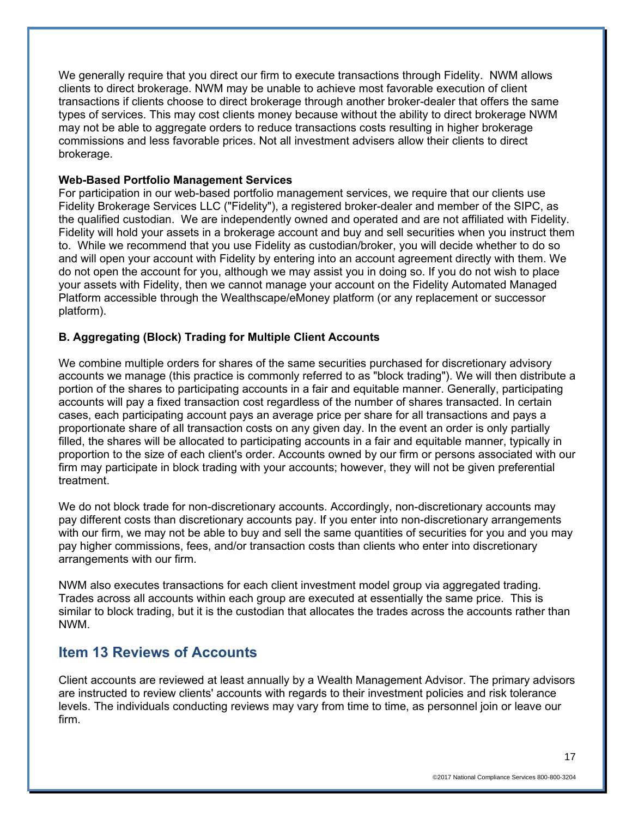We generally require that you direct our firm to execute transactions through Fidelity. NWM allows clients to direct brokerage. NWM may be unable to achieve most favorable execution of client transactions if clients choose to direct brokerage through another broker-dealer that offers the same types of services. This may cost clients money because without the ability to direct brokerage NWM may not be able to aggregate orders to reduce transactions costs resulting in higher brokerage commissions and less favorable prices. Not all investment advisers allow their clients to direct brokerage.

### **Web-Based Portfolio Management Services**

For participation in our web-based portfolio management services, we require that our clients use Fidelity Brokerage Services LLC ("Fidelity"), a registered broker-dealer and member of the SIPC, as the qualified custodian. We are independently owned and operated and are not affiliated with Fidelity. Fidelity will hold your assets in a brokerage account and buy and sell securities when you instruct them to. While we recommend that you use Fidelity as custodian/broker, you will decide whether to do so and will open your account with Fidelity by entering into an account agreement directly with them. We do not open the account for you, although we may assist you in doing so. If you do not wish to place your assets with Fidelity, then we cannot manage your account on the Fidelity Automated Managed Platform accessible through the Wealthscape/eMoney platform (or any replacement or successor platform).

## **B. Aggregating (Block) Trading for Multiple Client Accounts**

We combine multiple orders for shares of the same securities purchased for discretionary advisory accounts we manage (this practice is commonly referred to as "block trading"). We will then distribute a portion of the shares to participating accounts in a fair and equitable manner. Generally, participating accounts will pay a fixed transaction cost regardless of the number of shares transacted. In certain cases, each participating account pays an average price per share for all transactions and pays a proportionate share of all transaction costs on any given day. In the event an order is only partially filled, the shares will be allocated to participating accounts in a fair and equitable manner, typically in proportion to the size of each client's order. Accounts owned by our firm or persons associated with our firm may participate in block trading with your accounts; however, they will not be given preferential treatment.

We do not block trade for non-discretionary accounts. Accordingly, non-discretionary accounts may pay different costs than discretionary accounts pay. If you enter into non-discretionary arrangements with our firm, we may not be able to buy and sell the same quantities of securities for you and you may pay higher commissions, fees, and/or transaction costs than clients who enter into discretionary arrangements with our firm.

NWM also executes transactions for each client investment model group via aggregated trading. Trades across all accounts within each group are executed at essentially the same price. This is similar to block trading, but it is the custodian that allocates the trades across the accounts rather than NWM.

## **Item 13 Reviews of Accounts**

Client accounts are reviewed at least annually by a Wealth Management Advisor. The primary advisors are instructed to review clients' accounts with regards to their investment policies and risk tolerance levels. The individuals conducting reviews may vary from time to time, as personnel join or leave our firm.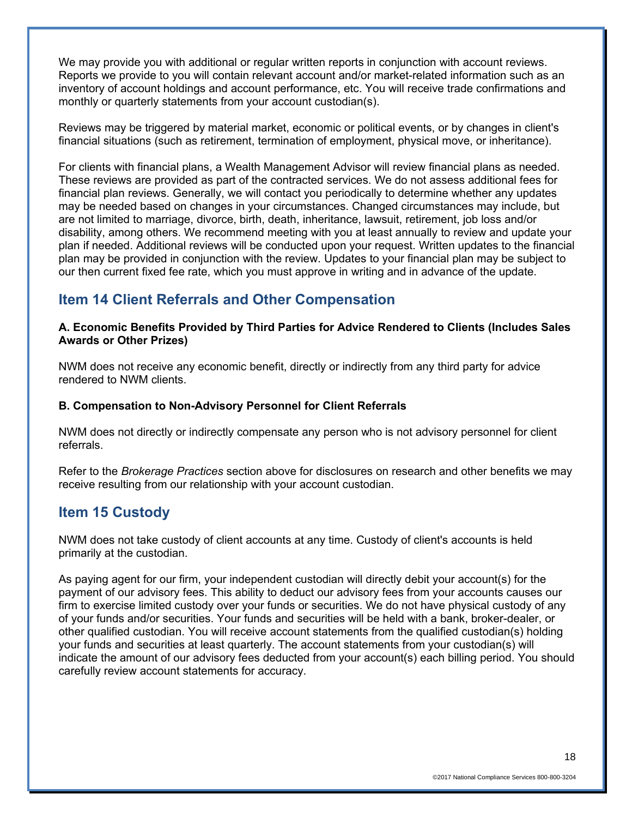We may provide you with additional or regular written reports in conjunction with account reviews. Reports we provide to you will contain relevant account and/or market-related information such as an inventory of account holdings and account performance, etc. You will receive trade confirmations and monthly or quarterly statements from your account custodian(s).

Reviews may be triggered by material market, economic or political events, or by changes in client's financial situations (such as retirement, termination of employment, physical move, or inheritance).

For clients with financial plans, a Wealth Management Advisor will review financial plans as needed. These reviews are provided as part of the contracted services. We do not assess additional fees for financial plan reviews. Generally, we will contact you periodically to determine whether any updates may be needed based on changes in your circumstances. Changed circumstances may include, but are not limited to marriage, divorce, birth, death, inheritance, lawsuit, retirement, job loss and/or disability, among others. We recommend meeting with you at least annually to review and update your plan if needed. Additional reviews will be conducted upon your request. Written updates to the financial plan may be provided in conjunction with the review. Updates to your financial plan may be subject to our then current fixed fee rate, which you must approve in writing and in advance of the update.

# **Item 14 Client Referrals and Other Compensation**

### **A. Economic Benefits Provided by Third Parties for Advice Rendered to Clients (Includes Sales Awards or Other Prizes)**

NWM does not receive any economic benefit, directly or indirectly from any third party for advice rendered to NWM clients.

## **B. Compensation to Non-Advisory Personnel for Client Referrals**

NWM does not directly or indirectly compensate any person who is not advisory personnel for client referrals.

Refer to the *Brokerage Practices* section above for disclosures on research and other benefits we may receive resulting from our relationship with your account custodian.

## **Item 15 Custody**

NWM does not take custody of client accounts at any time. Custody of client's accounts is held primarily at the custodian.

As paying agent for our firm, your independent custodian will directly debit your account(s) for the payment of our advisory fees. This ability to deduct our advisory fees from your accounts causes our firm to exercise limited custody over your funds or securities. We do not have physical custody of any of your funds and/or securities. Your funds and securities will be held with a bank, broker-dealer, or other qualified custodian. You will receive account statements from the qualified custodian(s) holding your funds and securities at least quarterly. The account statements from your custodian(s) will indicate the amount of our advisory fees deducted from your account(s) each billing period. You should carefully review account statements for accuracy.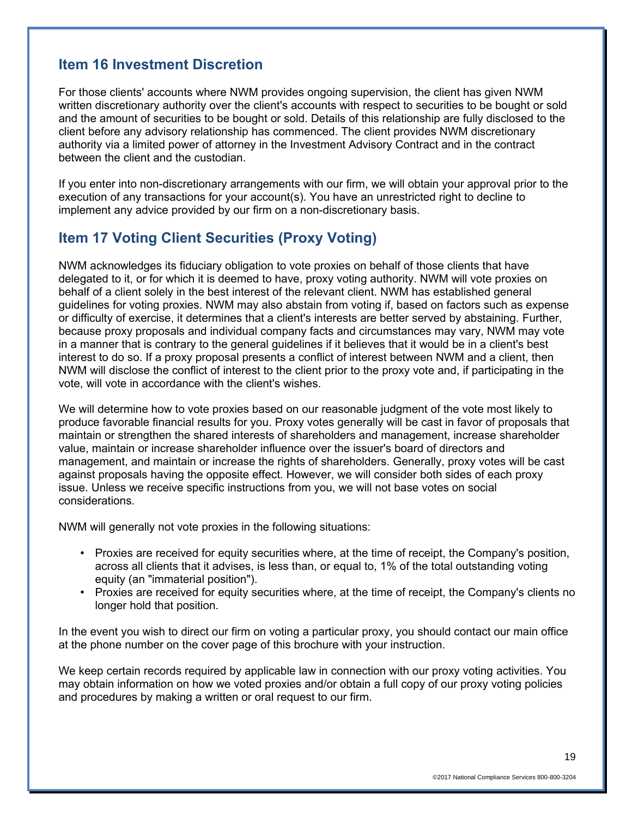## **Item 16 Investment Discretion**

For those clients' accounts where NWM provides ongoing supervision, the client has given NWM written discretionary authority over the client's accounts with respect to securities to be bought or sold and the amount of securities to be bought or sold. Details of this relationship are fully disclosed to the client before any advisory relationship has commenced. The client provides NWM discretionary authority via a limited power of attorney in the Investment Advisory Contract and in the contract between the client and the custodian.

If you enter into non-discretionary arrangements with our firm, we will obtain your approval prior to the execution of any transactions for your account(s). You have an unrestricted right to decline to implement any advice provided by our firm on a non-discretionary basis.

# **Item 17 Voting Client Securities (Proxy Voting)**

NWM acknowledges its fiduciary obligation to vote proxies on behalf of those clients that have delegated to it, or for which it is deemed to have, proxy voting authority. NWM will vote proxies on behalf of a client solely in the best interest of the relevant client. NWM has established general guidelines for voting proxies. NWM may also abstain from voting if, based on factors such as expense or difficulty of exercise, it determines that a client's interests are better served by abstaining. Further, because proxy proposals and individual company facts and circumstances may vary, NWM may vote in a manner that is contrary to the general guidelines if it believes that it would be in a client's best interest to do so. If a proxy proposal presents a conflict of interest between NWM and a client, then NWM will disclose the conflict of interest to the client prior to the proxy vote and, if participating in the vote, will vote in accordance with the client's wishes.

We will determine how to vote proxies based on our reasonable judgment of the vote most likely to produce favorable financial results for you. Proxy votes generally will be cast in favor of proposals that maintain or strengthen the shared interests of shareholders and management, increase shareholder value, maintain or increase shareholder influence over the issuer's board of directors and management, and maintain or increase the rights of shareholders. Generally, proxy votes will be cast against proposals having the opposite effect. However, we will consider both sides of each proxy issue. Unless we receive specific instructions from you, we will not base votes on social considerations.

NWM will generally not vote proxies in the following situations:

- Proxies are received for equity securities where, at the time of receipt, the Company's position, across all clients that it advises, is less than, or equal to, 1% of the total outstanding voting equity (an "immaterial position").
- Proxies are received for equity securities where, at the time of receipt, the Company's clients no longer hold that position.

In the event you wish to direct our firm on voting a particular proxy, you should contact our main office at the phone number on the cover page of this brochure with your instruction.

We keep certain records required by applicable law in connection with our proxy voting activities. You may obtain information on how we voted proxies and/or obtain a full copy of our proxy voting policies and procedures by making a written or oral request to our firm.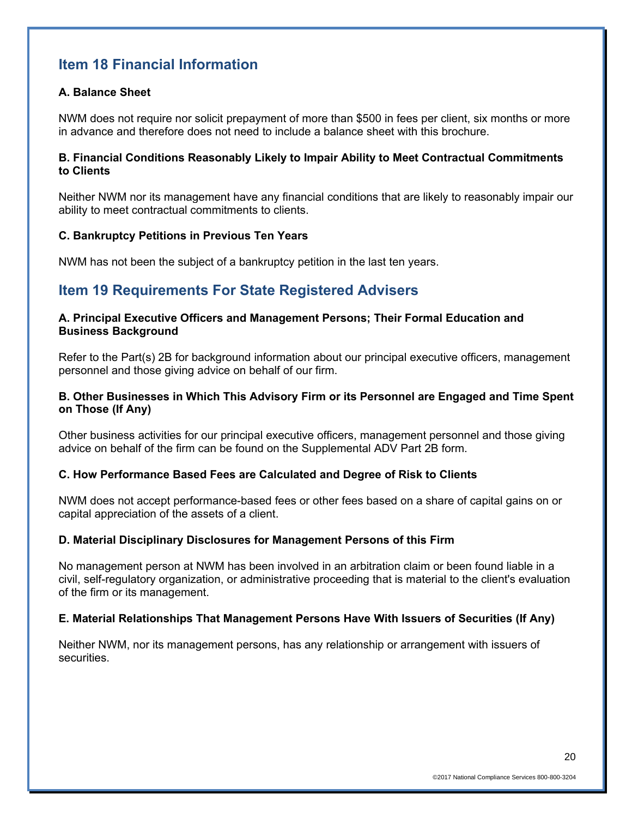# **Item 18 Financial Information**

## **A. Balance Sheet**

NWM does not require nor solicit prepayment of more than \$500 in fees per client, six months or more in advance and therefore does not need to include a balance sheet with this brochure.

### **B. Financial Conditions Reasonably Likely to Impair Ability to Meet Contractual Commitments to Clients**

Neither NWM nor its management have any financial conditions that are likely to reasonably impair our ability to meet contractual commitments to clients.

### **C. Bankruptcy Petitions in Previous Ten Years**

NWM has not been the subject of a bankruptcy petition in the last ten years.

## **Item 19 Requirements For State Registered Advisers**

### **A. Principal Executive Officers and Management Persons; Their Formal Education and Business Background**

Refer to the Part(s) 2B for background information about our principal executive officers, management personnel and those giving advice on behalf of our firm.

### **B. Other Businesses in Which This Advisory Firm or its Personnel are Engaged and Time Spent on Those (If Any)**

Other business activities for our principal executive officers, management personnel and those giving advice on behalf of the firm can be found on the Supplemental ADV Part 2B form.

### **C. How Performance Based Fees are Calculated and Degree of Risk to Clients**

NWM does not accept performance-based fees or other fees based on a share of capital gains on or capital appreciation of the assets of a client.

### **D. Material Disciplinary Disclosures for Management Persons of this Firm**

No management person at NWM has been involved in an arbitration claim or been found liable in a civil, self-regulatory organization, or administrative proceeding that is material to the client's evaluation of the firm or its management.

### **E. Material Relationships That Management Persons Have With Issuers of Securities (If Any)**

Neither NWM, nor its management persons, has any relationship or arrangement with issuers of securities.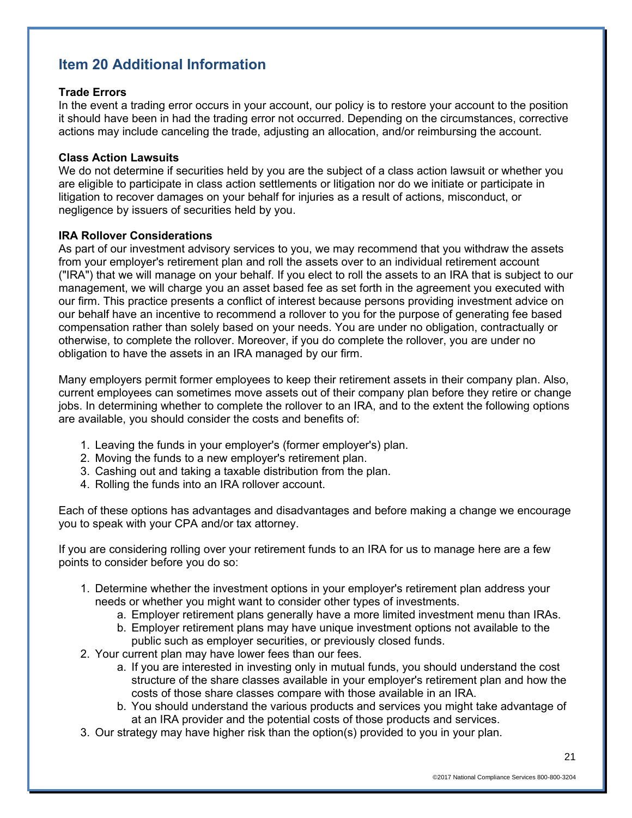# **Item 20 Additional Information**

### **Trade Errors**

In the event a trading error occurs in your account, our policy is to restore your account to the position it should have been in had the trading error not occurred. Depending on the circumstances, corrective actions may include canceling the trade, adjusting an allocation, and/or reimbursing the account.

### **Class Action Lawsuits**

We do not determine if securities held by you are the subject of a class action lawsuit or whether you are eligible to participate in class action settlements or litigation nor do we initiate or participate in litigation to recover damages on your behalf for injuries as a result of actions, misconduct, or negligence by issuers of securities held by you.

### **IRA Rollover Considerations**

As part of our investment advisory services to you, we may recommend that you withdraw the assets from your employer's retirement plan and roll the assets over to an individual retirement account ("IRA") that we will manage on your behalf. If you elect to roll the assets to an IRA that is subject to our management, we will charge you an asset based fee as set forth in the agreement you executed with our firm. This practice presents a conflict of interest because persons providing investment advice on our behalf have an incentive to recommend a rollover to you for the purpose of generating fee based compensation rather than solely based on your needs. You are under no obligation, contractually or otherwise, to complete the rollover. Moreover, if you do complete the rollover, you are under no obligation to have the assets in an IRA managed by our firm.

Many employers permit former employees to keep their retirement assets in their company plan. Also, current employees can sometimes move assets out of their company plan before they retire or change jobs. In determining whether to complete the rollover to an IRA, and to the extent the following options are available, you should consider the costs and benefits of:

- 1. Leaving the funds in your employer's (former employer's) plan.
- 2. Moving the funds to a new employer's retirement plan.
- 3. Cashing out and taking a taxable distribution from the plan.
- 4. Rolling the funds into an IRA rollover account.

Each of these options has advantages and disadvantages and before making a change we encourage you to speak with your CPA and/or tax attorney.

If you are considering rolling over your retirement funds to an IRA for us to manage here are a few points to consider before you do so:

- 1. Determine whether the investment options in your employer's retirement plan address your needs or whether you might want to consider other types of investments.
	- a. Employer retirement plans generally have a more limited investment menu than IRAs.
	- b. Employer retirement plans may have unique investment options not available to the public such as employer securities, or previously closed funds.
- 2. Your current plan may have lower fees than our fees.
	- a. If you are interested in investing only in mutual funds, you should understand the cost structure of the share classes available in your employer's retirement plan and how the costs of those share classes compare with those available in an IRA.
	- b. You should understand the various products and services you might take advantage of at an IRA provider and the potential costs of those products and services.
- 3. Our strategy may have higher risk than the option(s) provided to you in your plan.